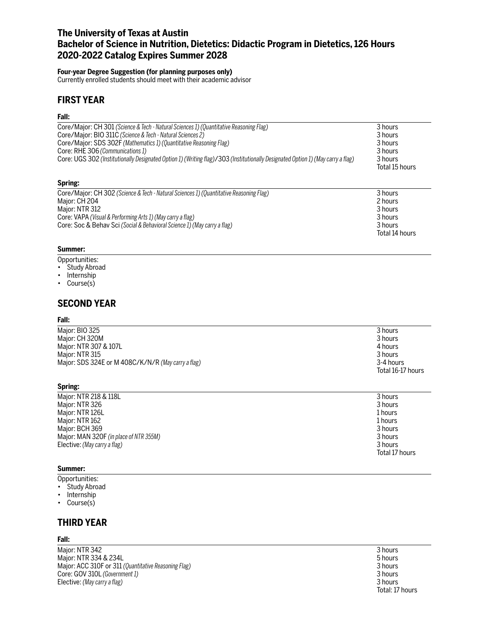# **The University of Texas at Austin Bachelor of Science in Nutrition, Dietetics: Didactic Program in Dietetics, 126 Hours 2020-2022 Catalog Expires Summer 2028**

### **Four-year Degree Suggestion (for planning purposes only)**

Currently enrolled students should meet with their academic advisor

## **FIRST YEAR**

## **Fall:**

| Core/Major: CH 301 (Science & Tech - Natural Sciences 1) (Quantitative Reasoning Flag)<br>Core/Major: BIO 311C (Science & Tech - Natural Sciences 2)<br>Core/Major: SDS 302F (Mathematics 1) (Quantitative Reasoning Flag)<br>Core: RHE 306 (Communications 1)<br>Core: UGS 302 (Institutionally Designated Option 1) (Writing flag)/303 (Institutionally Designated Option 1) (May carry a flag) | 3 hours<br>3 hours<br>3 hours<br>3 hours<br>3 hours<br>Total 15 hours |
|---------------------------------------------------------------------------------------------------------------------------------------------------------------------------------------------------------------------------------------------------------------------------------------------------------------------------------------------------------------------------------------------------|-----------------------------------------------------------------------|
| Spring:                                                                                                                                                                                                                                                                                                                                                                                           |                                                                       |
| Core/Major: CH 302 (Science & Tech - Natural Sciences 1) (Quantitative Reasoning Flag)<br>Major: CH 200                                                                                                                                                                                                                                                                                           | 3 hours<br>$2$ houre                                                  |

| Maior: CH 204                                                            | 2 hours        |
|--------------------------------------------------------------------------|----------------|
| Maior: NTR 312                                                           | 3 hours        |
| Core: VAPA (Visual & Performing Arts 1) (May carry a flag)               | 3 hours        |
| Core: Soc & Behay Sci (Social & Behavioral Science 1) (May carry a flag) | 3 hours        |
|                                                                          | Total 14 hours |

## **Summer:**

- Opportunities:
- Study Abroad
- Internship
- Course(s)

## **SECOND YEAR**

#### **Fall:**

| Major: BIO 325                                     | 3 hours           |
|----------------------------------------------------|-------------------|
| Major: CH 320M                                     | 3 hours           |
| Major: NTR 307 & 107L                              | 4 hours           |
| Major: NTR 315                                     | 3 hours           |
| Major: SDS 324E or M 408C/K/N/R (May carry a flag) | 3-4 hours         |
|                                                    | Total 16-17 hours |

## **Spring:**

| Major: NTR 218 & 118L                  | 3 hours        |
|----------------------------------------|----------------|
| Major: NTR 326                         | 3 hours        |
| Major: NTR 126L                        | 1 hours        |
| Major: NTR 162                         | 1 hours        |
| Major: BCH 369                         | 3 hours        |
| Major: MAN 320F (in place of NTR 355M) | 3 hours        |
| Elective: (May carry a flag)           | 3 hours        |
|                                        | Total 17 hours |

#### **Summer:**

Opportunities:

- Study Abroad
- Internship
- Course(s)

# **THIRD YEAR**

## **Fall:**

Major: NTR 342 3 hours Major: NTR 334 & 234L<br>
Major: ACC 310F or 311 (Quantitative Reasoning Flag)<br>
3 hours Major: ACC 310F or 311 *(Quantitative Reasoning Flag)* 3 hours Core: GOV 310L (Government 1) **3** hours<br>
Elective: (May carry a flag) 3 **3** hours Elective: (May carry a flag)

Total: 17 hours